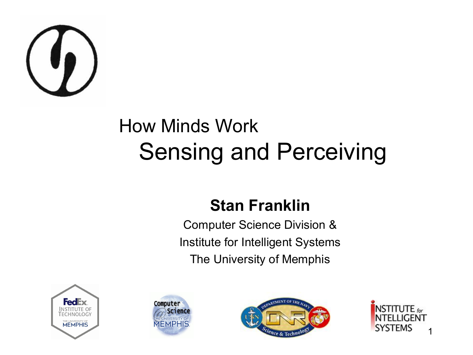

#### How Minds Work Sensing and Perceiving

#### **Stan Franklin**

Computer Science Division & Institute for Intelligent Systems The University of Memphis







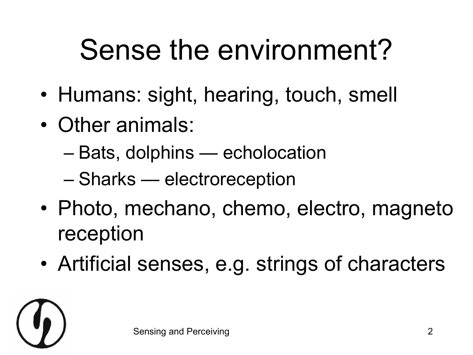#### Sense the environment?

- Humans: sight, hearing, touch, smell
- Other animals:
	- Bats, dolphins echolocation
	- Sharks electroreception
- Photo, mechano, chemo, electro, magneto reception
- Artificial senses, e.g. strings of characters

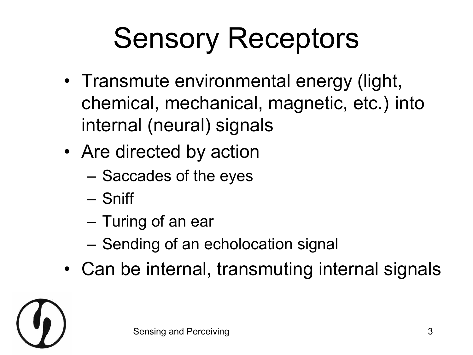## Sensory Receptors

- Transmute environmental energy (light, chemical, mechanical, magnetic, etc.) into internal (neural) signals
- Are directed by action
	- Saccades of the eyes
	- Sniff
	- Turing of an ear
	- Sending of an echolocation signal
- Can be internal, transmuting internal signals

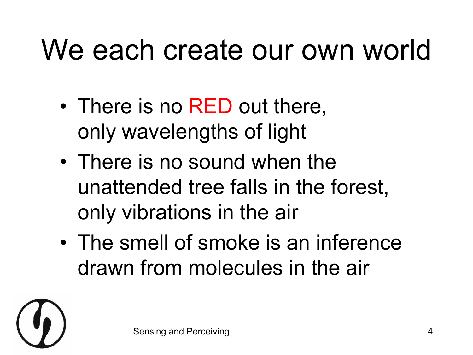#### We each create our own world

- There is no RED out there, only wavelengths of light
- There is no sound when the unattended tree falls in the forest, only vibrations in the air
- The smell of smoke is an inference drawn from molecules in the air

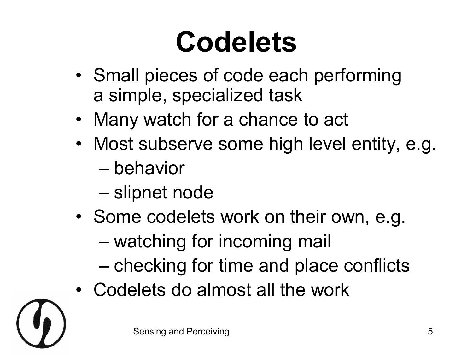### **Codelets**

- Small pieces of code each performing a simple, specialized task
- Many watch for a chance to act
- Most subserve some high level entity, e.g.
	- behavior
	- slipnet node
- Some codelets work on their own, e.g.
	- watching for incoming mail
	- checking for time and place conflicts
- Codelets do almost all the work

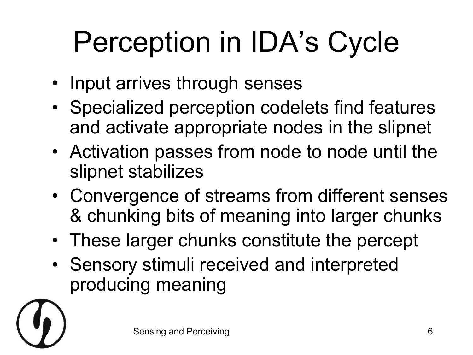# Perception in IDA's Cycle

- Input arrives through senses
- Specialized perception codelets find features and activate appropriate nodes in the slipnet
- Activation passes from node to node until the slipnet stabilizes
- Convergence of streams from different senses & chunking bits of meaning into larger chunks
- These larger chunks constitute the percept
- Sensory stimuli received and interpreted producing meaning

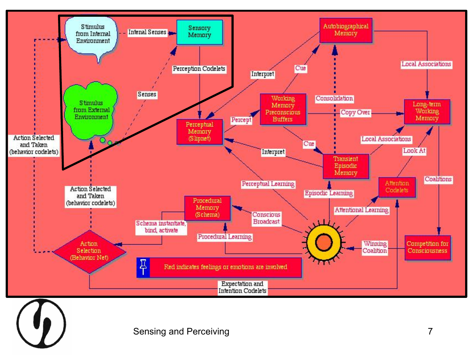

Sensing and Perceiving 7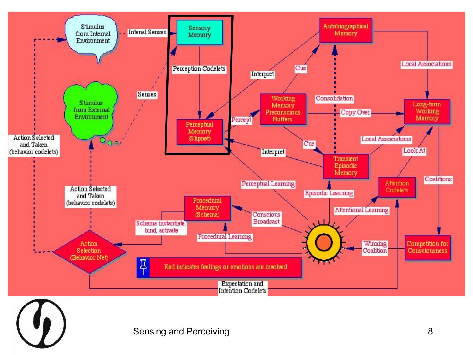

Sensing and Perceiving 8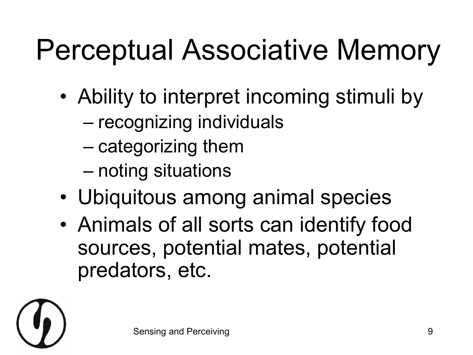## Perceptual Associative Memory

- Ability to interpret incoming stimuli by
	- recognizing individuals
	- categorizing them
	- noting situations
- Ubiquitous among animal species
- Animals of all sorts can identify food sources, potential mates, potential predators, etc.

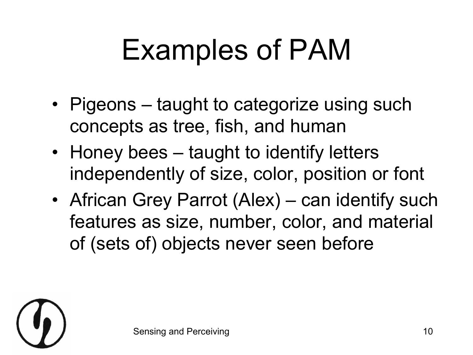## Examples of PAM

- Pigeons taught to categorize using such concepts as tree, fish, and human
- Honey bees taught to identify letters independently of size, color, position or font
- African Grey Parrot (Alex) can identify such features as size, number, color, and material of (sets of) objects never seen before

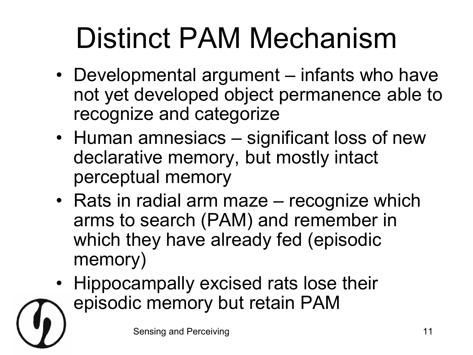## Distinct PAM Mechanism

- Developmental argument infants who have not yet developed object permanence able to recognize and categorize
- Human amnesiacs significant loss of new declarative memory, but mostly intact perceptual memory
- Rats in radial arm maze recognize which arms to search (PAM) and remember in which they have already fed (episodic memory)
- Hippocampally excised rats lose their episodic memory but retain PAM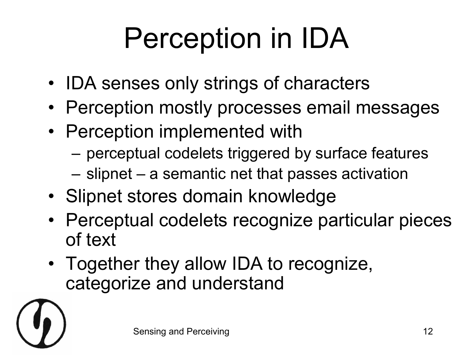## Perception in IDA

- IDA senses only strings of characters
- Perception mostly processes email messages
- Perception implemented with
	- perceptual codelets triggered by surface features
	- slipnet a semantic net that passes activation
- Slipnet stores domain knowledge
- Perceptual codelets recognize particular pieces of text
- Together they allow IDA to recognize, categorize and understand

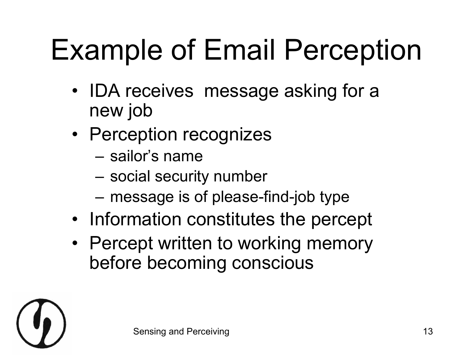## Example of Email Perception

- IDA receives message asking for a new job
- Perception recognizes
	- sailor's name
	- social security number
	- $-$  message is of please-find-job type
- Information constitutes the percept
- Percept written to working memory before becoming conscious

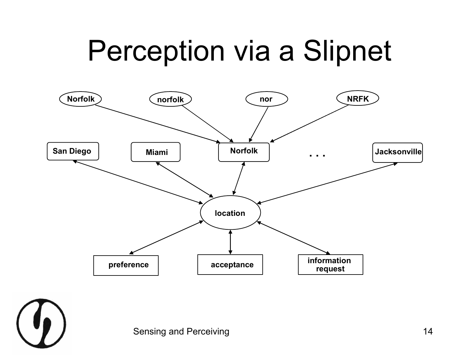#### Perception via a Slipnet



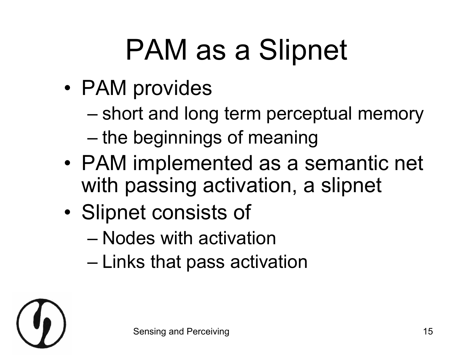## PAM as a Slipnet

- PAM provides
	- short and long term perceptual memory
	- the beginnings of meaning
- PAM implemented as a semantic net with passing activation, a slipnet
- Slipnet consists of
	- Nodes with activation
	- Links that pass activation

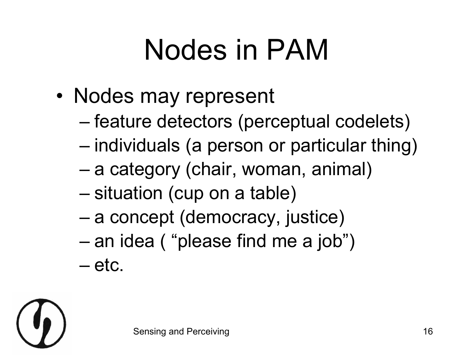## Nodes in PAM

- Nodes may represent
	- feature detectors (perceptual codelets)
	- individuals (a person or particular thing)
	- a category (chair, woman, animal)
	- situation (cup on a table)
	- a concept (democracy, justice)
	- an idea ( "please find me a job")
	- etc.

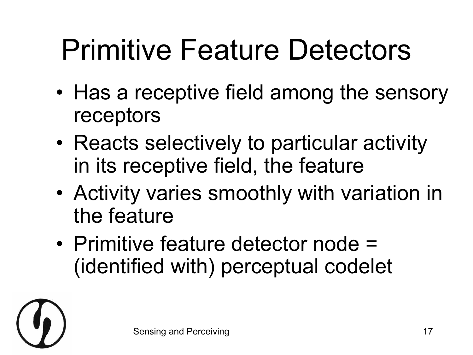### Primitive Feature Detectors

- Has a receptive field among the sensory receptors
- Reacts selectively to particular activity in its receptive field, the feature
- Activity varies smoothly with variation in the feature
- Primitive feature detector node = (identified with) perceptual codelet

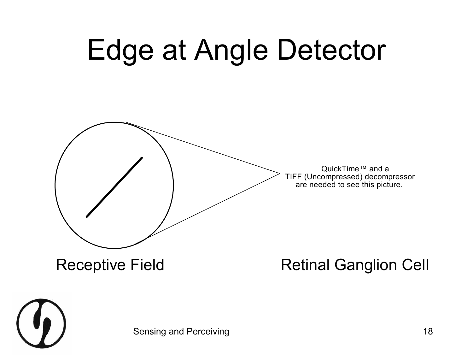#### Edge at Angle Detector



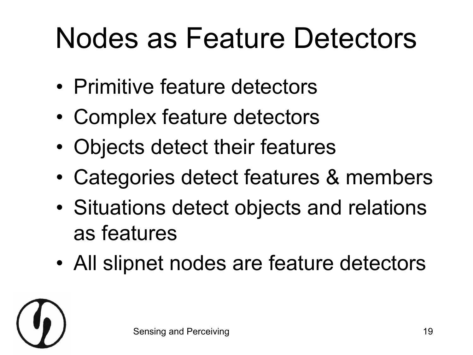#### Nodes as Feature Detectors

- Primitive feature detectors
- Complex feature detectors
- Objects detect their features
- Categories detect features & members
- Situations detect objects and relations as features
- All slipnet nodes are feature detectors

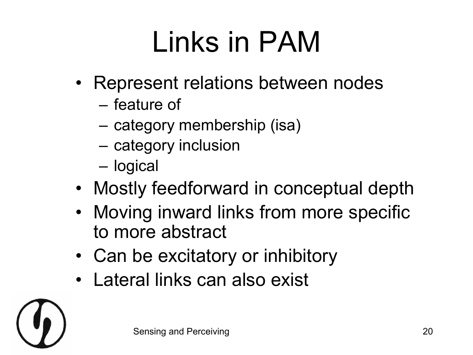## Links in PAM

- Represent relations between nodes
	- feature of
	- category membership (isa)
	- category inclusion
	- logical
- Mostly feedforward in conceptual depth
- Moving inward links from more specific to more abstract
- Can be excitatory or inhibitory
- Lateral links can also exist

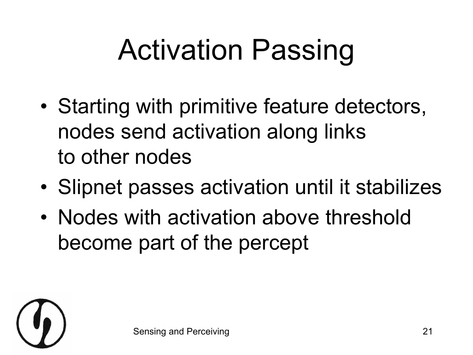## Activation Passing

- Starting with primitive feature detectors, nodes send activation along links to other nodes
- Slipnet passes activation until it stabilizes
- Nodes with activation above threshold become part of the percept

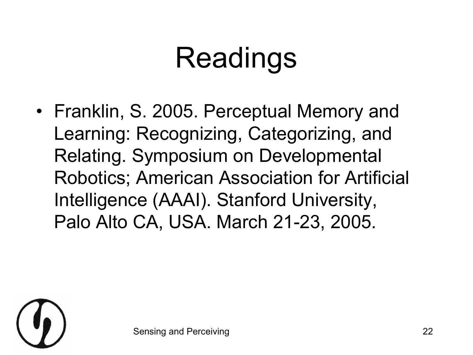## Readings

• Franklin, S. 2005. Perceptual Memory and Learning: Recognizing, Categorizing, and Relating. Symposium on Developmental Robotics; American Association for Artificial Intelligence (AAAI). Stanford University, Palo Alto CA, USA. March 21-23, 2005.